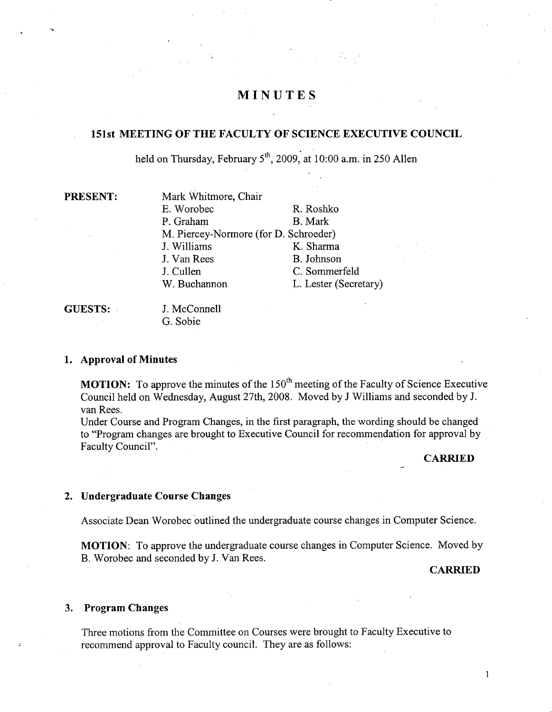# **MINUTES**

# **151st MEETING OF THE FACULTY OF SCIENCE EXECUTIVE COUNCIL**

held on Thursday, February 5<sup>th</sup>, 2009, at 10:00 a.m. in 250 Allen

| <b>PRESENT:</b> |
|-----------------|
|-----------------|

**Mark Whitmore, Chair** B. Worobec R. Roshko P. Graham B. Mark M. Piercey-Normore (for D. Schroeder) J. Williams K. Sharma J. Van Rees B. Johnson J. Cullen C. Sommerfeld W. Buchannon L. Lester (Secretary)

**GUESTS:** J. McConnell G. Sobie

#### **Approval of Minutes**

**MOTION:** To approve the minutes of the 150<sup>th</sup> meeting of the Faculty of Science Executive Council held on Wednesday, August 27th, 2008. Moved by J Williams and seconded by J. van Rees.

Under Course and Program Changes, in the first paragraph, the wording should be changed to "Program changes are brought to Executive Council for recommendation for approval by Faculty Council".

**CARRIED** 

## **Undergraduate Course Changes**

Associate Dean Worobec outlined the undergraduate course changes in Computer Science.

**MOTION:** To approve the undergraduate course changes in Computer Science. Moved by B. Worobec and seconded by J. Van Rees.

### **CARRIED**

### **Program Changes**

Three motions from the Committee on Courses were brought to Faculty Executive to recommend approval to Faculty council. They are as follows:

 $\mathbf{1}$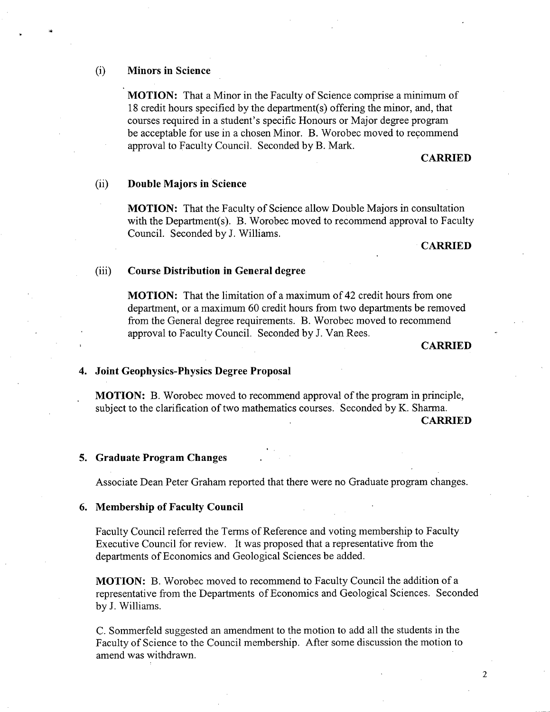#### $(i)$ **Minors in Science**

**MOTION:** That a Minor in the Faculty of Science comprise a minimum of 18 credit hours specified by the department(s) offering the minor, and, that courses required in a student's specific Honours or Major degree program be acceptable for use in a chosen Minor. B. Worobec moved to recommend approval to Faculty Council. Seconded by B. Mark.

#### **CARRIED**

#### **Double Majors in Science**   $(ii)$

**MOTION:** That the Faculty of Science allow Double Majors in consultation with the Department(s). B. Worobec moved to recommend approval to Faculty Council. Seconded by J. Williams.

#### **CARRIED**

#### $(iii)$ **Course Distribution in General degree**

**MOTION:** That the limitation of a maximum of 42 credit hours from one department, or a maximum 60 credit hours from two departments be removed from the General degree requirements. B. Worobec moved to recommend approval to Faculty Council. Seconded by J. Van Rees.

#### **CARRIED**

#### **Joint Geophysics-Physics Degree Proposal**

**MOTION: B.** Worobec moved to recommend approval of the program in principle, subject to the clarification of two mathematics courses. Seconded by K. Sharma. **CARRIED** 

#### **Graduate Program Changes**

Associate Dean Peter Graham reported that there were no Graduate program changes.

#### **Membership of Faculty Council**

Faculty Council referred the Terms of Reference and voting membership to Faculty Executive Council for review. It was proposed that a representative from the departments of Economics and Geological Sciences be added.

**MOTION: B.** Worobec moved to recommend to Faculty Council the addition of a representative from the Departments of Economics and Geological Sciences. Seconded by J. Williams.

C. Sommerfeld suggested an amendment to the motion to add all the students in the Faculty of Science to the Council membership. After some discussion the motion to amend was withdrawn.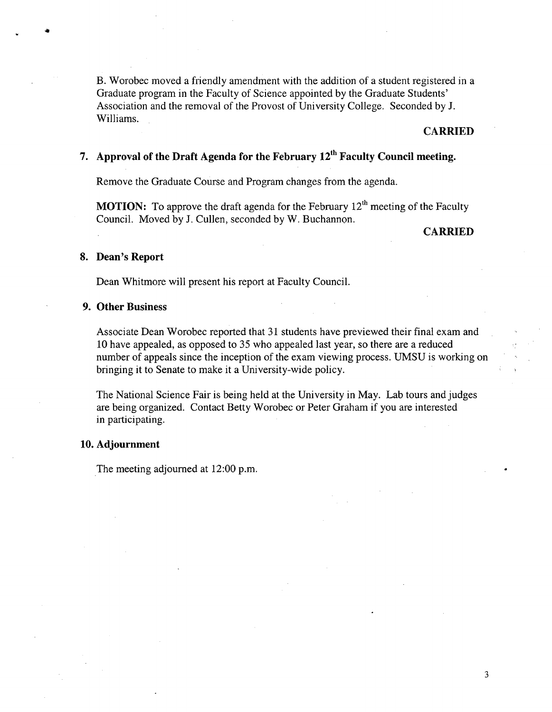B. Worobec moved a friendly amendment with the addition of a student registered in a Graduate program in the Faculty of Science appointed by the Graduate Students' Association and the removal of the Provost of University College. Seconded by J. Williams.

## **CARRIED**

# **Approval of the Draft Agenda for the February 12th Faculty Council meeting.**

Remove the Graduate Course and Program changes from the agenda.

**MOTION:** To approve the draft agenda for the February 12<sup>th</sup> meeting of the Faculty Council. Moved by J. Cullen, seconded by W. Buchannon.

## **CARRIED**

#### **Dean's Report**

16

Dean Whitmore will present his report at Faculty Council.

### **Other Business**

Associate Dean Worobec reported that 31 students have previewed their final exam and 10 have appealed, as opposed to 35 who appealed last year, so there are a reduced number of appeals since the inception of the exam viewing process. UMSU is working on bringing it to Senate to make it a University-wide policy.

The National Science Fair is being held at the University in May. Lab tours and judges are being organized. Contact Betty Worobec or Peter Graham if you are interested in participating.

#### **Adjournment**

The meeting adjourned at 12:00 p.m.